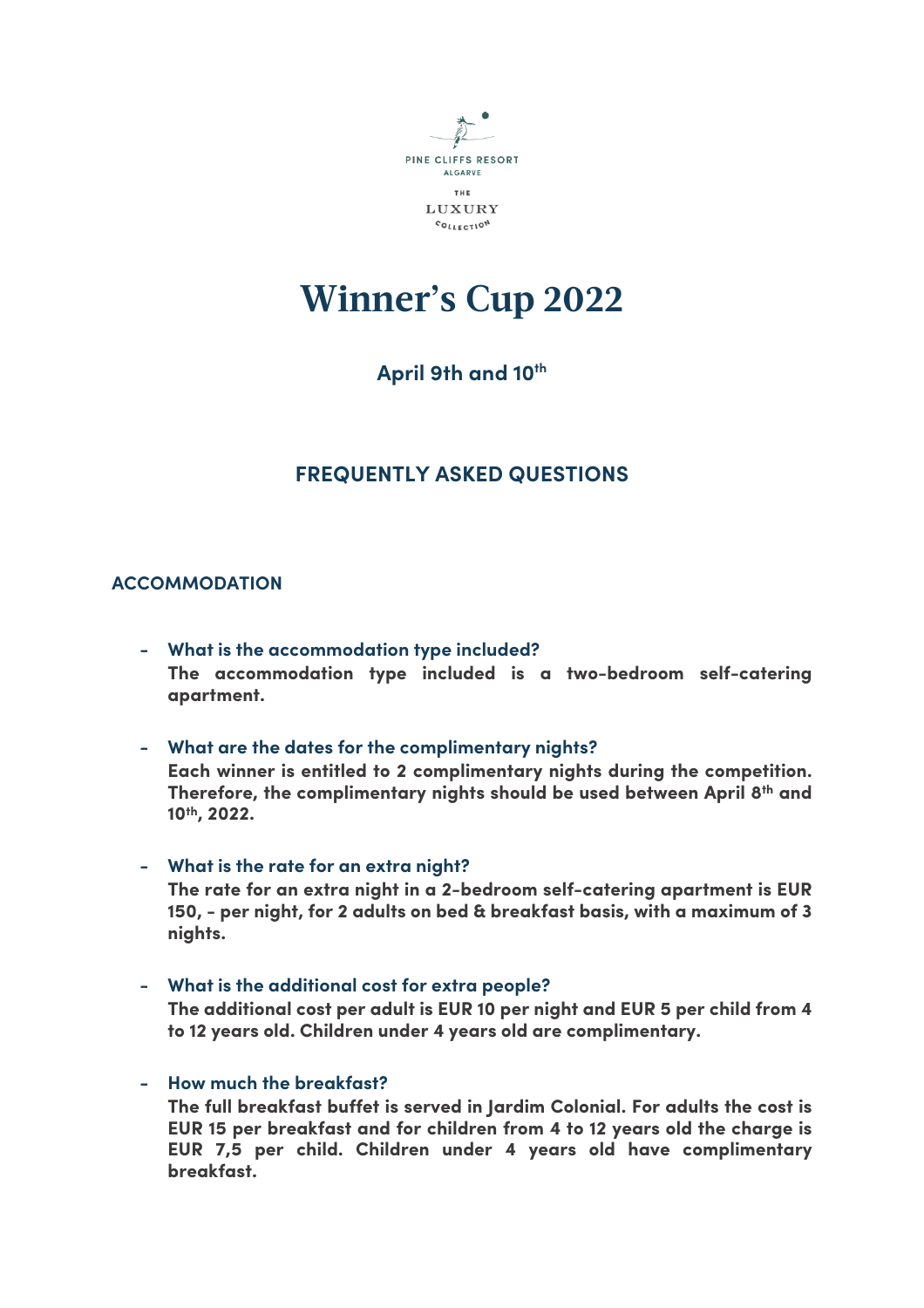

# **Winner's Cup 2022**

# April 9th and 10<sup>th</sup>

# **FREQUENTLY ASKED QUESTIONS**

# **ACCOMMODATION**

- **- What is the accommodation type included? The accommodation type included is a two-bedroom self-catering apartment.**
- **- What are the dates for the complimentary nights?**

**Each winner is entitled to 2 complimentary nights during the competition. Therefore, the complimentary nights should be used between April 8th and 10th, 2022.**

**- What is the rate for an extra night?**

**The rate for an extra night in a 2-bedroom self-catering apartment is EUR 150, - per night, for 2 adults on bed & breakfast basis, with a maximum of 3 nights.**

- **- What is the additional cost for extra people? The additional cost per adult is EUR 10 per night and EUR 5 per child from 4 to 12 years old. Children under 4 years old are complimentary.**
- **- How much the breakfast?**

**The full breakfast buffet is served in Jardim Colonial. For adults the cost is EUR 15 per breakfast and for children from 4 to 12 years old the charge is EUR 7,5 per child. Children under 4 years old have complimentary breakfast.**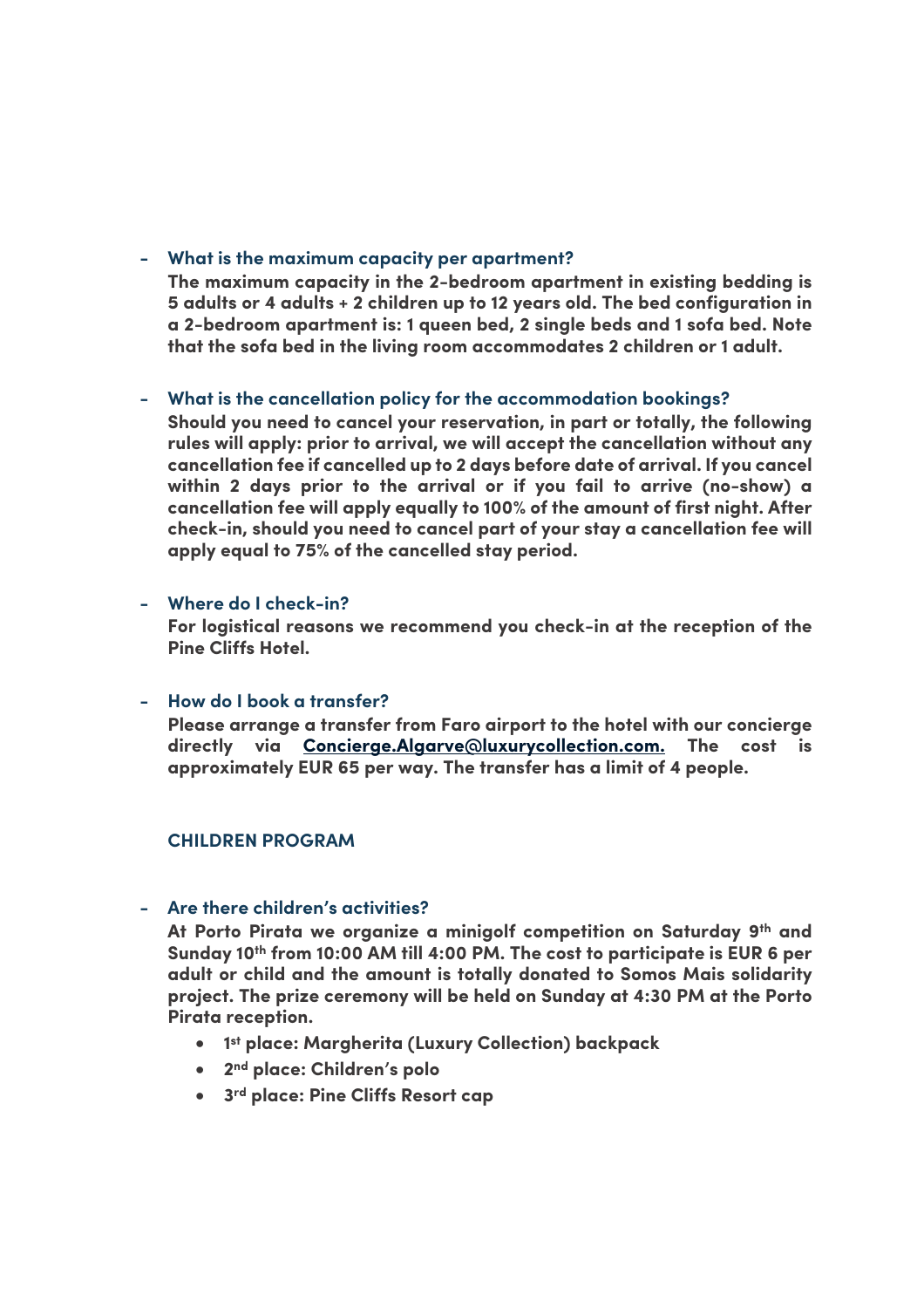## **- What is the maximum capacity per apartment?**

**The maximum capacity in the 2-bedroom apartment in existing bedding is 5 adults or 4 adults + 2 children up to 12 years old. The bed configuration in a 2-bedroom apartment is: 1 queen bed, 2 single beds and 1 sofa bed. Note that the sofa bed in the living room accommodates 2 children or 1 adult.**

# **- What is the cancellation policy for the accommodation bookings?**

**Should you need to cancel your reservation, in part or totally, the following rules will apply: prior to arrival, we will accept the cancellation without any cancellation fee if cancelled up to 2 days before date of arrival. If you cancel within 2 days prior to the arrival or if you fail to arrive (no-show) a cancellation fee will apply equally to 100% of the amount of first night. After check-in, should you need to cancel part of your stay a cancellation fee will apply equal to 75% of the cancelled stay period.**

### **- Where do I check-in?**

**For logistical reasons we recommend you check-in at the reception of the Pine Cliffs Hotel.**

### **- How do I book a transfer?**

**Please arrange a transfer from Faro airport to the hotel with our concierge directly via Concierge.Algarve@luxurycollection.com. The cost is approximately EUR 65 per way. The transfer has a limit of 4 people.**

### **CHILDREN PROGRAM**

#### **- Are there children's activities?**

**At Porto Pirata we organize a minigolf competition on Saturday 9th and Sunday 10th from 10:00 AM till 4:00 PM. The cost to participate is EUR 6 per adult or child and the amount is totally donated to Somos Mais solidarity project. The prize ceremony will be held on Sunday at 4:30 PM at the Porto Pirata reception.**

- **1st place: Margherita (Luxury Collection) backpack**
- **2nd place: Children's polo**
- **3rd place: Pine Cliffs Resort cap**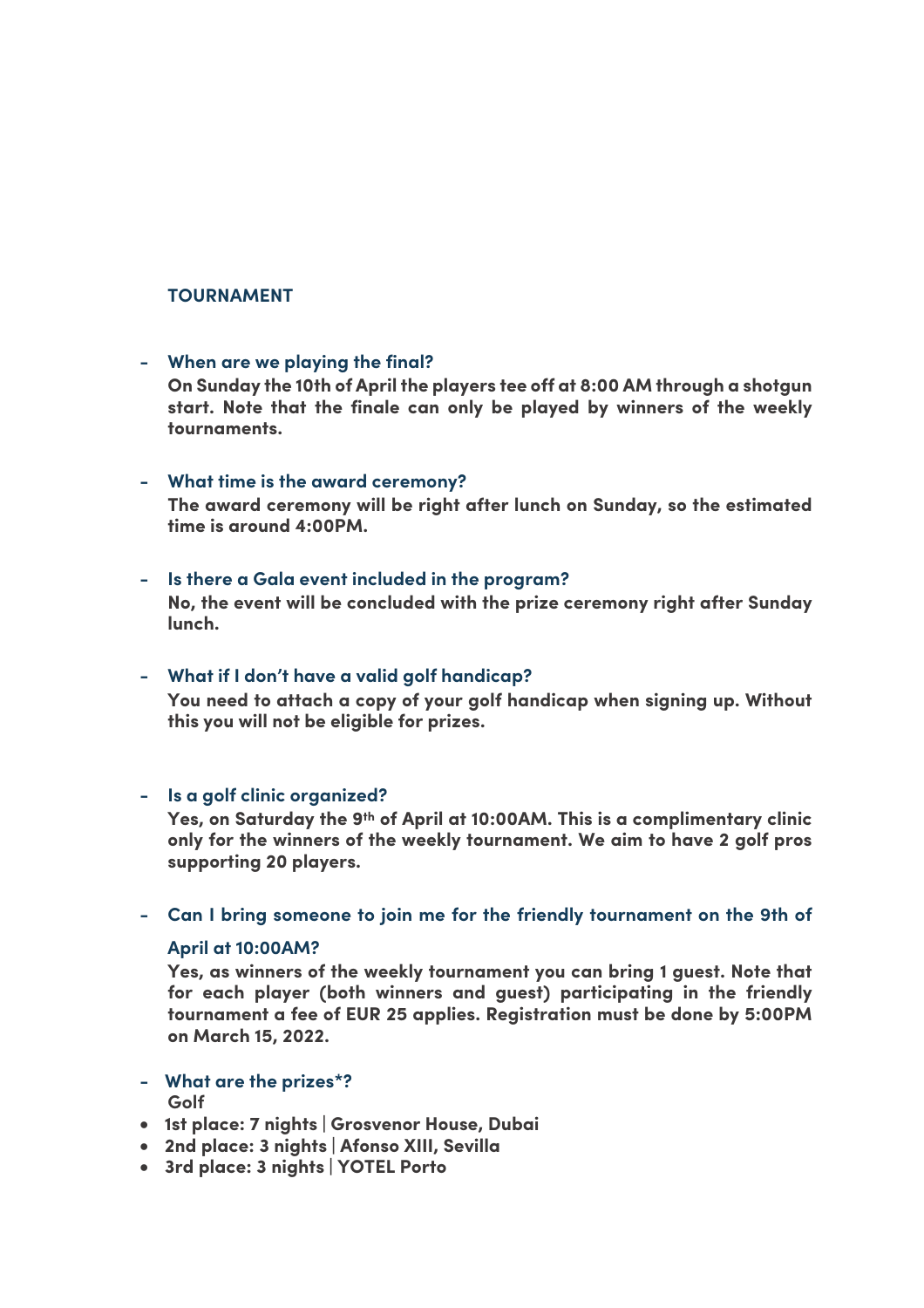#### **TOURNAMENT**

#### **- When are we playing the final?**

**On Sunday the 10th of April the players tee off at 8:00 AM through a shotgun start. Note that the finale can only be played by winners of the weekly tournaments.**

#### **- What time is the award ceremony?**

**The award ceremony will be right after lunch on Sunday, so the estimated time is around 4:00PM.** 

#### **- Is there a Gala event included in the program?**

**No, the event will be concluded with the prize ceremony right after Sunday lunch.** 

#### **- What if I don't have a valid golf handicap?**

**You need to attach a copy of your golf handicap when signing up. Without this you will not be eligible for prizes.**

#### **- Is a golf clinic organized?**

**Yes, on Saturday the 9th of April at 10:00AM. This is a complimentary clinic only for the winners of the weekly tournament. We aim to have 2 golf pros supporting 20 players.**

#### **- Can I bring someone to join me for the friendly tournament on the 9th of**

### **April at 10:00AM?**

**Yes, as winners of the weekly tournament you can bring 1 guest. Note that for each player (both winners and guest) participating in the friendly tournament a fee of EUR 25 applies. Registration must be done by 5:00PM on March 15, 2022.** 

- **- What are the prizes\*? Golf**
- **1st place: 7 nights | Grosvenor House, Dubai**
- **2nd place: 3 nights | Afonso XIII, Sevilla**
- **3rd place: 3 nights | YOTEL Porto**